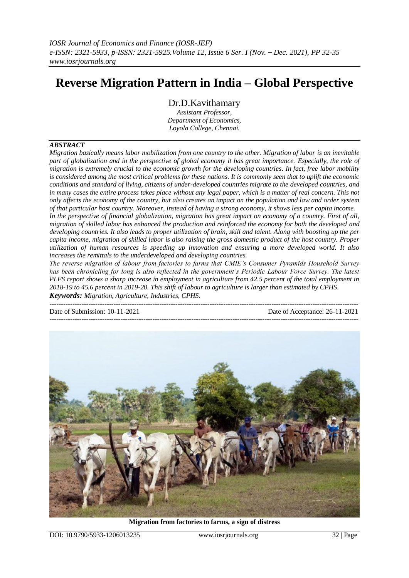# **Reverse Migration Pattern in India – Global Perspective**

Dr.D.Kavithamary

*Assistant Professor, Department of Economics, Loyola College, Chennai.*

### *ABSTRACT*

*Migration basically means labor mobilization from one country to the other. Migration of labor is an inevitable part of globalization and in the perspective of global economy it has great importance. Especially, the role of migration is extremely crucial to the economic growth for the developing countries. In fact, free labor mobility is considered among the most critical problems for these nations. It is commonly seen that to uplift the economic conditions and standard of living, citizens of under-developed countries migrate to the developed countries, and*  in many cases the entire process takes place without any legal paper, which is a matter of real concern. This not *only affects the economy of the country, but also creates an impact on the population and law and order system of that particular host country. Moreover, instead of having a strong economy, it shows less per capita income. In the perspective of financial globalization, migration has great impact on economy of a country. First of all, migration of skilled labor has enhanced the production and reinforced the economy for both the developed and developing countries. It also leads to proper utilization of brain, skill and talent. Along with boosting up the per capita income, migration of skilled labor is also raising the gross domestic product of the host country. Proper utilization of human resources is speeding up innovation and ensuring a more developed world. It also increases the remittals to the underdeveloped and developing countries.*

*The reverse migration of labour from factories to farms that CMIE's Consumer Pyramids Household Survey has been chronicling for long is also reflected in the government's Periodic Labour Force Survey. The latest PLFS report shows a sharp increase in employment in agriculture from 42.5 percent of the total employment in 2018-19 to 45.6 percent in 2019-20. This shift of labour to agriculture is larger than estimated by CPHS. Keywords: Migration, Agriculture, Industries, CPHS.* 

| Date of Submission: 10-11-2021 | Date of Acceptance: 26-11-2021 |
|--------------------------------|--------------------------------|
|                                |                                |



**Migration from factories to farms, a sign of distress**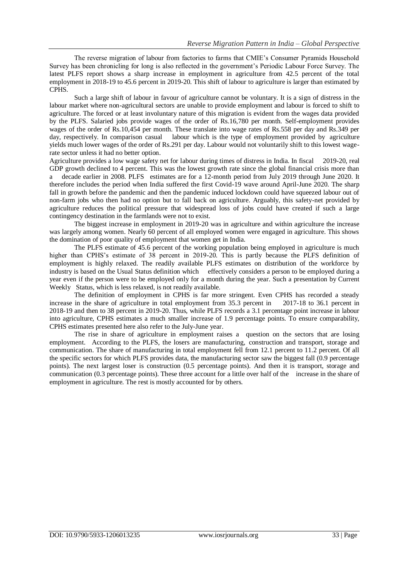The reverse migration of labour from factories to farms that CMIE's Consumer Pyramids Household Survey has been chronicling for long is also reflected in the government's Periodic Labour Force Survey. The latest PLFS report shows a sharp increase in employment in agriculture from 42.5 percent of the total employment in 2018-19 to 45.6 percent in 2019-20. This shift of labour to agriculture is larger than estimated by CPHS.

Such a large shift of labour in favour of agriculture cannot be voluntary. It is a sign of distress in the labour market where non-agricultural sectors are unable to provide employment and labour is forced to shift to agriculture. The forced or at least involuntary nature of this migration is evident from the wages data provided by the PLFS. Salaried jobs provide wages of the order of Rs.16,780 per month. Self-employment provides wages of the order of Rs.10,454 per month. These translate into wage rates of Rs.558 per day and Rs.349 per day, respectively. In comparison casual labour which is the type of employment provided by agriculture yields much lower wages of the order of Rs.291 per day. Labour would not voluntarily shift to this lowest wagerate sector unless it had no better option.

Agriculture provides a low wage safety net for labour during times of distress in India. In fiscal 2019-20, real GDP growth declined to 4 percent. This was the lowest growth rate since the global financial crisis more than a decade earlier in 2008. PLFS estimates are for a 12-month period from July 2019 through June 2020. It therefore includes the period when India suffered the first Covid-19 wave around April-June 2020. The sharp fall in growth before the pandemic and then the pandemic induced lockdown could have squeezed labour out of non-farm jobs who then had no option but to fall back on agriculture. Arguably, this safety-net provided by agriculture reduces the political pressure that widespread loss of jobs could have created if such a large contingency destination in the farmlands were not to exist.

The biggest increase in employment in 2019-20 was in agriculture and within agriculture the increase was largely among women. Nearly 60 percent of all employed women were engaged in agriculture. This shows the domination of poor quality of employment that women get in India.

The PLFS estimate of 45.6 percent of the working population being employed in agriculture is much higher than CPHS's estimate of 38 percent in 2019-20. This is partly because the PLFS definition of employment is highly relaxed. The readily available PLFS estimates on distribution of the workforce by industry is based on the Usual Status definition which effectively considers a person to be employed during a year even if the person were to be employed only for a month during the year. Such a presentation by Current Weekly Status, which is less relaxed, is not readily available.

The definition of employment in CPHS is far more stringent. Even CPHS has recorded a steady increase in the share of agriculture in total employment from 35.3 percent in 2017-18 to 36.1 percent in 2018-19 and then to 38 percent in 2019-20. Thus, while PLFS records a 3.1 percentage point increase in labour into agriculture, CPHS estimates a much smaller increase of 1.9 percentage points. To ensure comparability, CPHS estimates presented here also refer to the July-June year.

The rise in share of agriculture in employment raises a question on the sectors that are losing employment. According to the PLFS, the losers are manufacturing, construction and transport, storage and communication. The share of manufacturing in total employment fell from 12.1 percent to 11.2 percent. Of all the specific sectors for which PLFS provides data, the manufacturing sector saw the biggest fall (0.9 percentage points). The next largest loser is construction (0.5 percentage points). And then it is transport, storage and communication (0.3 percentage points). These three account for a little over half of the increase in the share of employment in agriculture. The rest is mostly accounted for by others.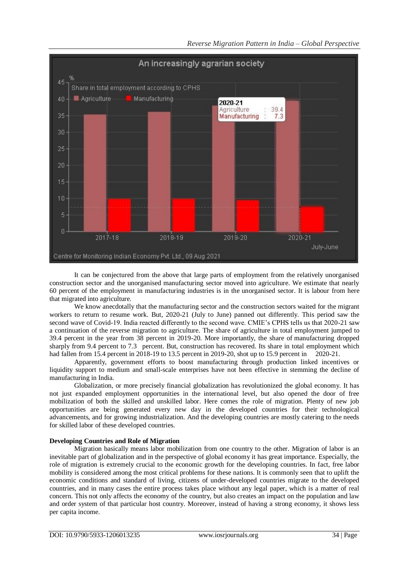

It can be conjectured from the above that large parts of employment from the relatively unorganised construction sector and the unorganised manufacturing sector moved into agriculture. We estimate that nearly 60 percent of the employment in manufacturing industries is in the unorganised sector. It is labour from here that migrated into agriculture.

We know anecdotally that the manufacturing sector and the construction sectors waited for the migrant workers to return to resume work. But, 2020-21 (July to June) panned out differently. This period saw the second wave of Covid-19. India reacted differently to the second wave. CMIE's CPHS tells us that 2020-21 saw a continuation of the reverse migration to agriculture. The share of agriculture in total employment jumped to 39.4 percent in the year from 38 percent in 2019-20. More importantly, the share of manufacturing dropped sharply from 9.4 percent to 7.3 percent. But, construction has recovered. Its share in total employment which had fallen from 15.4 percent in 2018-19 to 13.5 percent in 2019-20, shot up to 15.9 percent in 2020-21.

Apparently, government efforts to boost manufacturing through production linked incentives or liquidity support to medium and small-scale enterprises have not been effective in stemming the decline of manufacturing in India.

Globalization, or more precisely financial globalization has revolutionized the global economy. It has not just expanded employment opportunities in the international level, but also opened the door of free mobilization of both the skilled and unskilled labor. Here comes the role of migration. Plenty of new job opportunities are being generated every new day in the developed countries for their technological advancements, and for growing industrialization. And the developing countries are mostly catering to the needs for skilled labor of these developed countries.

## **Developing Countries and Role of Migration**

Migration basically means labor mobilization from one country to the other. Migration of labor is an inevitable part of globalization and in the perspective of global economy it has great importance. Especially, the role of migration is extremely crucial to the economic growth for the developing countries. In fact, free labor mobility is considered among the most critical problems for these nations. It is commonly seen that to uplift the economic conditions and standard of living, citizens of under-developed countries migrate to the developed countries, and in many cases the entire process takes place without any legal paper, which is a matter of real concern. This not only affects the economy of the country, but also creates an impact on the population and law and order system of that particular host country. Moreover, instead of having a strong economy, it shows less per capita income.